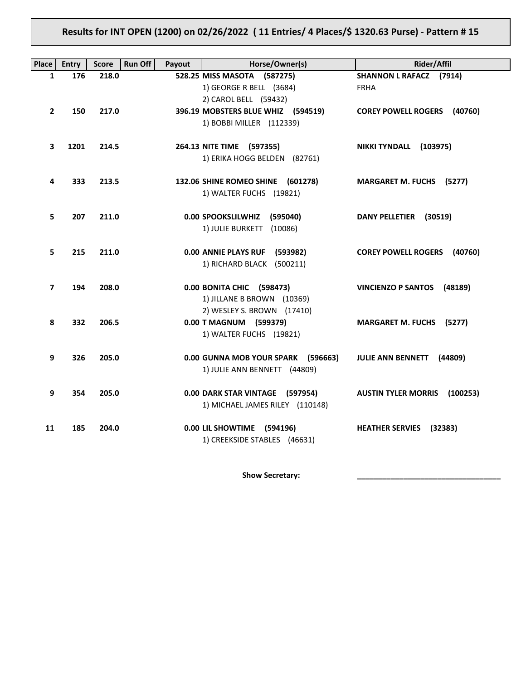# **Results for INT OPEN (1200) on 02/26/2022 ( 11 Entries/ 4 Places/\$ 1320.63 Purse) - Pattern # 15**

| <b>Place</b> | <b>Entry</b> | <b>Score</b> | <b>Run Off</b><br>Payout | Horse/Owner(s)                                            | <b>Rider/Affil</b>                     |
|--------------|--------------|--------------|--------------------------|-----------------------------------------------------------|----------------------------------------|
| $\mathbf{1}$ | 176          | 218.0        |                          | 528.25 MISS MASOTA (587275)                               | <b>SHANNON L RAFACZ (7914)</b>         |
|              |              |              |                          | 1) GEORGE R BELL (3684)                                   | <b>FRHA</b>                            |
|              |              |              |                          | 2) CAROL BELL (59432)                                     |                                        |
| $\mathbf{2}$ | 150          | 217.0        |                          | 396.19 MOBSTERS BLUE WHIZ (594519)                        | <b>COREY POWELL ROGERS</b><br>(40760)  |
|              |              |              |                          | 1) BOBBI MILLER (112339)                                  |                                        |
|              |              |              |                          |                                                           |                                        |
| 3            | 1201         | 214.5        |                          | 264.13 NITE TIME (597355)<br>1) ERIKA HOGG BELDEN (82761) | NIKKI TYNDALL (103975)                 |
|              |              |              |                          |                                                           |                                        |
| 4            | 333          | 213.5        |                          | 132.06 SHINE ROMEO SHINE (601278)                         | <b>MARGARET M. FUCHS (5277)</b>        |
|              |              |              |                          | 1) WALTER FUCHS (19821)                                   |                                        |
|              |              |              |                          |                                                           |                                        |
| 5.           | 207          | 211.0        |                          | 0.00 SPOOKSLILWHIZ (595040)                               | DANY PELLETIER (30519)                 |
|              |              |              |                          | 1) JULIE BURKETT (10086)                                  |                                        |
|              |              |              |                          |                                                           |                                        |
| 5            | 215          | 211.0        |                          | 0.00 ANNIE PLAYS RUF (593982)                             | <b>COREY POWELL ROGERS</b><br>(40760)  |
|              |              |              |                          | 1) RICHARD BLACK (500211)                                 |                                        |
| 7            | 194          | 208.0        |                          | 0.00 BONITA CHIC (598473)                                 | <b>VINCIENZO P SANTOS</b><br>(48189)   |
|              |              |              |                          | 1) JILLANE B BROWN (10369)                                |                                        |
|              |              |              |                          | 2) WESLEY S. BROWN (17410)                                |                                        |
| 8            | 332          | 206.5        |                          | 0.00 T MAGNUM (599379)                                    | <b>MARGARET M. FUCHS (5277)</b>        |
|              |              |              |                          | 1) WALTER FUCHS (19821)                                   |                                        |
|              |              |              |                          |                                                           |                                        |
| 9            | 326          | 205.0        |                          | 0.00 GUNNA MOB YOUR SPARK (596663)                        | <b>JULIE ANN BENNETT</b><br>(44809)    |
|              |              |              |                          | 1) JULIE ANN BENNETT (44809)                              |                                        |
|              |              |              |                          |                                                           |                                        |
| 9            | 354          | 205.0        |                          | 0.00 DARK STAR VINTAGE (597954)                           | <b>AUSTIN TYLER MORRIS</b><br>(100253) |
|              |              |              |                          | 1) MICHAEL JAMES RILEY (110148)                           |                                        |
| 11           | 185          | 204.0        |                          | 0.00 LIL SHOWTIME<br>(594196)                             | <b>HEATHER SERVIES</b><br>(32383)      |
|              |              |              |                          | 1) CREEKSIDE STABLES (46631)                              |                                        |
|              |              |              |                          |                                                           |                                        |

Show Secretary: